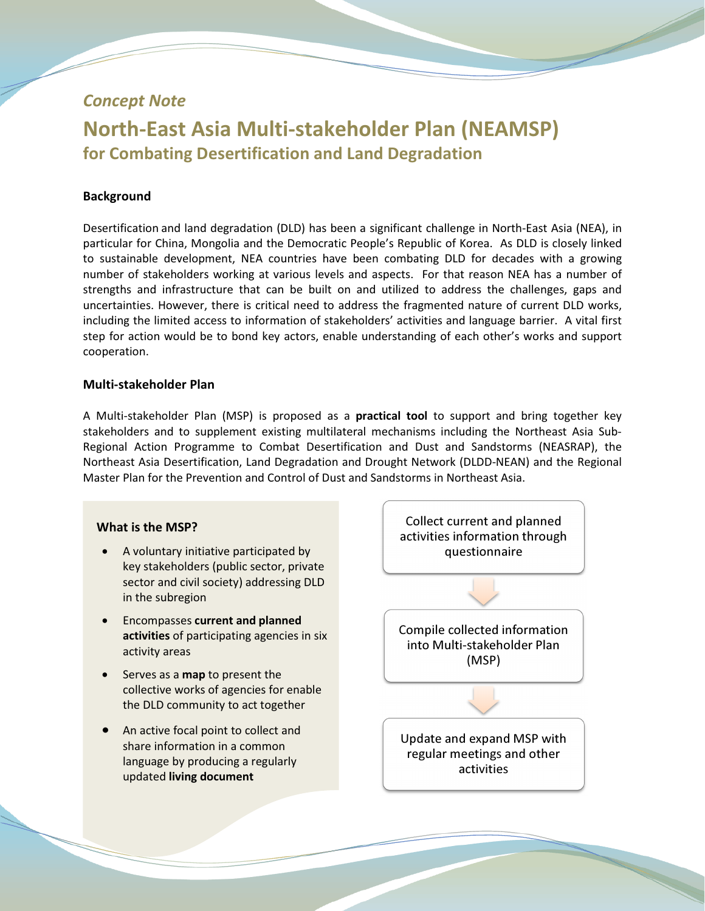## Concept Note

# North-East Asia Multi-stakeholder Plan (NEAMSP) for Combating Desertification and Land Degradation

### **Background**

Desertification and land degradation (DLD) has been a significant challenge in North-East Asia (NEA), in particular for China, Mongolia and the Democratic People's Republic of Korea. As DLD is closely linked to sustainable development, NEA countries have been combating DLD for decades with a growing number of stakeholders working at various levels and aspects. For that reason NEA has a number of strengths and infrastructure that can be built on and utilized to address the challenges, gaps and uncertainties. However, there is critical need to address the fragmented nature of current DLD works, including the limited access to information of stakeholders' activities and language barrier. A vital first step for action would be to bond key actors, enable understanding of each other's works and support cooperation.

#### Multi-stakeholder Plan

A Multi-stakeholder Plan (MSP) is proposed as a **practical tool** to support and bring together key stakeholders and to supplement existing multilateral mechanisms including the Northeast Asia Sub-Regional Action Programme to Combat Desertification and Dust and Sandstorms (NEASRAP), the Northeast Asia Desertification, Land Degradation and Drought Network (DLDD-NEAN) and the Regional Master Plan for the Prevention and Control of Dust and Sandstorms in Northeast Asia.

#### What is the MSP?

- A voluntary initiative participated by key stakeholders (public sector, private sector and civil society) addressing DLD in the subregion
- Encompasses current and planned activities of participating agencies in six activity areas
- Serves as a **map** to present the collective works of agencies for enable the DLD community to act together
- An active focal point to collect and share information in a common language by producing a regularly updated living document